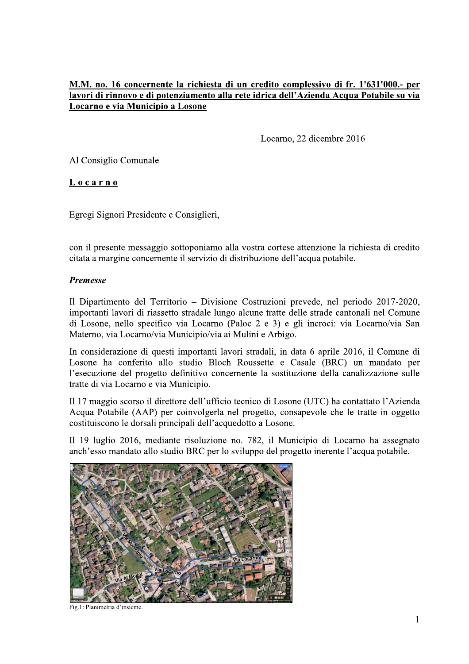### M.M. no. 16 concernente la richiesta di un credito complessivo di fr. 1'631'000.- per lavori di rinnovo e di potenziamento alla rete idrica dell'Azienda Acqua Potabile su via Locarno e via Municipio a Losone

Locarno, 22 dicembre 2016

Al Consiglio Comunale

Locarno

Egregi Signori Presidente e Consiglieri,

con il presente messaggio sottoponiamo alla vostra cortese attenzione la richiesta di credito citata a margine concernente il servizio di distribuzione dell'acqua potabile.

#### **Premesse**

Il Dipartimento del Territorio – Divisione Costruzioni prevede, nel periodo 2017-2020, importanti lavori di riassetto stradale lungo alcune tratte delle strade cantonali nel Comune di Losone, nello specifico via Locarno (Paloc 2 e 3) e gli incroci: via Locarno/via San Materno, via Locarno/via Municipio/via ai Mulini e Arbigo.

In considerazione di questi importanti lavori stradali, in data 6 aprile 2016, il Comune di Losone ha conferito allo studio Bloch Roussette e Casale (BRC) un mandato per l'esecuzione del progetto definitivo concernente la sostituzione della canalizzazione sulle tratte di via Locarno e via Municipio.

Il 17 maggio scorso il direttore dell'ufficio tecnico di Losone (UTC) ha contattato l'Azienda Acqua Potabile (AAP) per coinvolgerla nel progetto, consapevole che le tratte in oggetto costituiscono le dorsali principali dell'acquedotto a Losone.

Il 19 luglio 2016, mediante risoluzione no. 782, il Municipio di Locarno ha assegnato anch'esso mandato allo studio BRC per lo sviluppo del progetto inerente l'acqua potabile.



Fig.1: Planimetria d'insieme.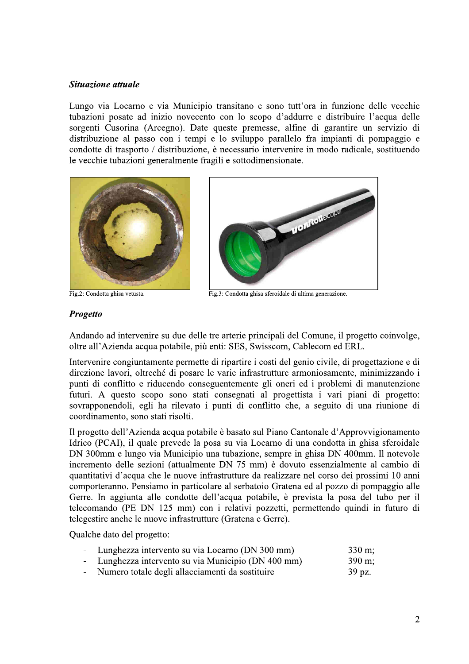#### Situazione attuale

Lungo via Locarno e via Municipio transitano e sono tutt'ora in funzione delle vecchie tubazioni posate ad inizio novecento con lo scopo d'addurre e distribuire l'acqua delle sorgenti Cusorina (Arcegno). Date queste premesse, alfine di garantire un servizio di distribuzione al passo con i tempi e lo sviluppo parallelo fra impianti di pompaggio e condotte di trasporto / distribuzione, è necessario intervenire in modo radicale, sostituendo le vecchie tubazioni generalmente fragili e sottodimensionate.



Fig.2: Condotta ghisa vetusta.



Fig.3: Condotta ghisa sferoidale di ultima generazione.

#### **Progetto**

Andando ad intervenire su due delle tre arterie principali del Comune, il progetto coinvolge, oltre all'Azienda acqua potabile, più enti: SES, Swisscom, Cablecom ed ERL.

Intervenire congiuntamente permette di ripartire i costi del genio civile, di progettazione e di direzione lavori, oltreché di posare le varie infrastrutture armoniosamente, minimizzando i punti di conflitto e riducendo conseguentemente gli oneri ed i problemi di manutenzione futuri. A questo scopo sono stati consegnati al progettista i vari piani di progetto: sovrapponendoli, egli ha rilevato i punti di conflitto che, a seguito di una riunione di coordinamento, sono stati risolti.

Il progetto dell'Azienda acqua potabile è basato sul Piano Cantonale d'Approvvigionamento Idrico (PCAI), il quale prevede la posa su via Locarno di una condotta in ghisa sferoidale DN 300mm e lungo via Municipio una tubazione, sempre in ghisa DN 400mm. Il notevole incremento delle sezioni (attualmente DN 75 mm) è dovuto essenzialmente al cambio di quantitativi d'acqua che le nuove infrastrutture da realizzare nel corso dei prossimi 10 anni comporteranno. Pensiamo in particolare al serbatoio Gratena ed al pozzo di pompaggio alle Gerre. In aggiunta alle condotte dell'acqua potabile, è prevista la posa del tubo per il telecomando (PE DN 125 mm) con i relativi pozzetti, permettendo quindi in futuro di telegestire anche le nuove infrastrutture (Gratena e Gerre).

Qualche dato del progetto:

| Lunghezza intervento su via Locarno (DN 300 mm)     | $330 \text{ m}$ |
|-----------------------------------------------------|-----------------|
| - Lunghezza intervento su via Municipio (DN 400 mm) | $390 \text{ m}$ |
|                                                     |                 |

Numero totale degli allacciamenti da sostituire 39 pz.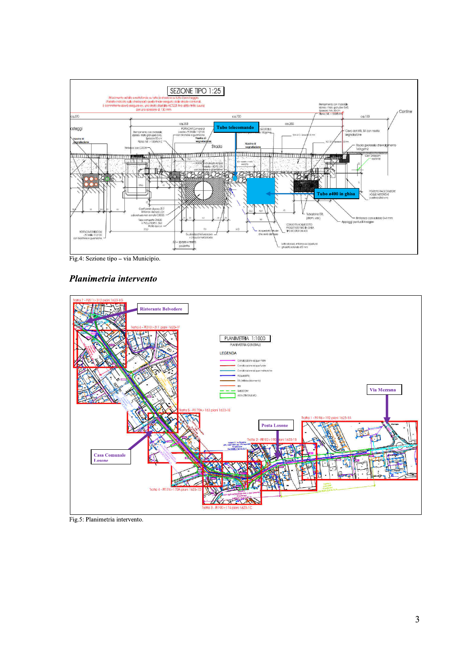

Fig.4: Sezione tipo - via Municipio.

#### Planimetria intervento



Fig.5: Planimetria intervento.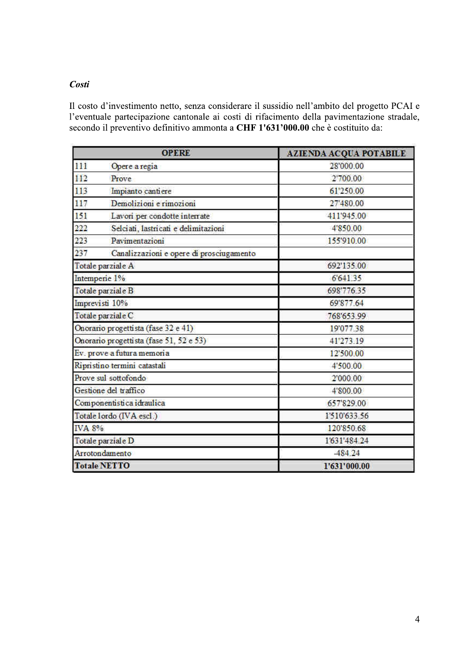## Costi

Il costo d'investimento netto, senza considerare il sussidio nell'ambito del progetto PCAI e l'eventuale partecipazione cantonale ai costi di rifacimento della pavimentazione stradale, secondo il preventivo definitivo ammonta a CHF 1'631'000.00 che è costituito da:

|                                         | <b>OPERE</b>                             | <b>AZIENDA ACQUA POTABILE</b> |  |
|-----------------------------------------|------------------------------------------|-------------------------------|--|
| 111                                     | Opere a regia                            | 28'000.00                     |  |
| 112                                     | Prove                                    | 2'700.00                      |  |
| 113                                     | Impianto cantiere                        | 61'250.00                     |  |
| 117                                     | Demolizioni e rimozioni                  | 27'480.00                     |  |
| 151                                     | Lavori per condotte interrate            | 411'945.00                    |  |
| 222                                     | Selciati, lastricati e delimitazioni     | 4'850.00                      |  |
| 223                                     | Pavimentazioni                           | 155'910.00                    |  |
| 237                                     | Canalizzazioni e opere di prosciugamento |                               |  |
| Totale parziale A                       |                                          | 692'135.00                    |  |
| Intemperie 1%                           |                                          | 6'641.35                      |  |
| Totale parziale B                       |                                          | 698'776.35                    |  |
| Imprevisti 10%                          |                                          | 69'877.64                     |  |
| Totale parziale C                       |                                          | 768'653.99                    |  |
| Onorario progettista (fase 32 e 41)     |                                          | 19'077.38                     |  |
| Onorario progettista (fase 51, 52 e 53) |                                          | 41'273.19                     |  |
| Ev. prove a futura memoria              |                                          | 12'500.00                     |  |
| Ripristino termini catastali            |                                          | 4'500.00                      |  |
| Prove sul sottofondo                    |                                          | 2'000.00                      |  |
| Gestione del traffico                   |                                          | 4'800.00                      |  |
| Componentistica idraulica               |                                          | 657'829.00                    |  |
| Totale lordo (IVA escl.)                |                                          | 1'510'633.56                  |  |
| <b>IVA 8%</b>                           |                                          | 120'850.68                    |  |
| Totale parziale D                       |                                          | 1'631'484.24                  |  |
| Arrotondamento                          |                                          | 484.24                        |  |
| <b>Totale NETTO</b>                     |                                          | 1'631'000.00                  |  |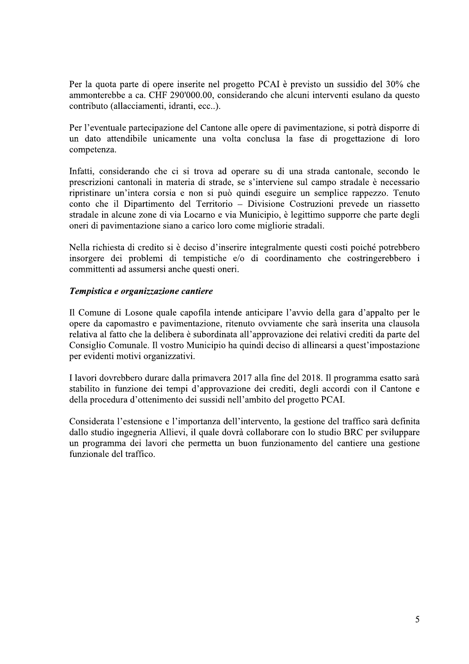Per la quota parte di opere inserite nel progetto PCAI è previsto un sussidio del 30% che ammonterebbe a ca. CHF 290'000.00, considerando che alcuni interventi esulano da questo contributo (allacciamenti, idranti, ecc..).

Per l'eventuale partecipazione del Cantone alle opere di pavimentazione, si potrà disporre di un dato attendibile unicamente una volta conclusa la fase di progettazione di loro competenza.

Infatti, considerando che ci si trova ad operare su di una strada cantonale, secondo le prescrizioni cantonali in materia di strade, se s'interviene sul campo stradale è necessario ripristinare un'intera corsia e non si può quindi eseguire un semplice rappezzo. Tenuto conto che il Dipartimento del Territorio - Divisione Costruzioni prevede un riassetto stradale in alcune zone di via Locarno e via Municipio, è legittimo supporre che parte degli oneri di pavimentazione siano a carico loro come migliorie stradali.

Nella richiesta di credito si è deciso d'inserire integralmente questi costi poiché potrebbero insorgere dei problemi di tempistiche e/o di coordinamento che costringerebbero i committenti ad assumersi anche questi oneri.

#### Tempistica e organizzazione cantiere

Il Comune di Losone quale capofila intende anticipare l'avvio della gara d'appalto per le opere da capomastro e pavimentazione, ritenuto ovviamente che sarà inserita una clausola relativa al fatto che la delibera è subordinata all'approvazione dei relativi crediti da parte del Consiglio Comunale. Il vostro Municipio ha quindi deciso di allinearsi a quest'impostazione per evidenti motivi organizzativi.

I lavori dovrebbero durare dalla primavera 2017 alla fine del 2018. Il programma esatto sarà stabilito in funzione dei tempi d'approvazione dei crediti, degli accordi con il Cantone e della procedura d'ottenimento dei sussidi nell'ambito del progetto PCAI.

Considerata l'estensione e l'importanza dell'intervento, la gestione del traffico sarà definita dallo studio ingegneria Allievi, il quale dovrà collaborare con lo studio BRC per sviluppare un programma dei lavori che permetta un buon funzionamento del cantiere una gestione funzionale del traffico.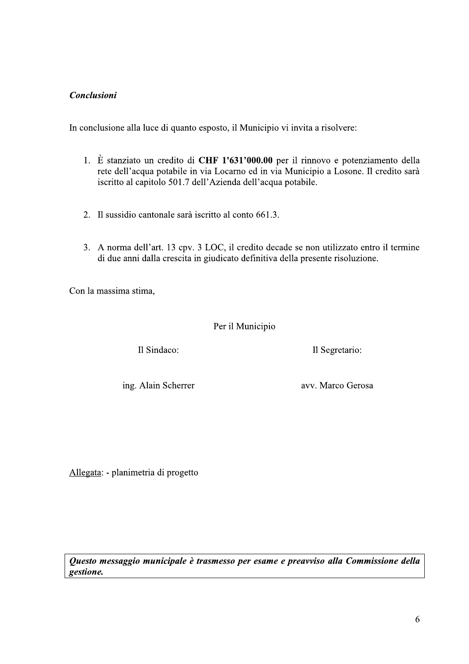# **Conclusioni**

In conclusione alla luce di quanto esposto, il Municipio vi invita a risolvere:

- 1. È stanziato un credito di CHF 1'631'000.00 per il rinnovo e potenziamento della rete dell'acqua potabile in via Locarno ed in via Municipio a Losone. Il credito sarà iscritto al capitolo 501.7 dell'Azienda dell'acqua potabile.
- 2. Il sussidio cantonale sarà iscritto al conto 661.3.
- 3. A norma dell'art. 13 cpv. 3 LOC, il credito decade se non utilizzato entro il termine di due anni dalla crescita in giudicato definitiva della presente risoluzione.

Con la massima stima,

Per il Municipio

Il Sindaco:

Il Segretario:

ing. Alain Scherrer

avv. Marco Gerosa

Allegata: - planimetria di progetto

Questo messaggio municipale è trasmesso per esame e preavviso alla Commissione della gestione.